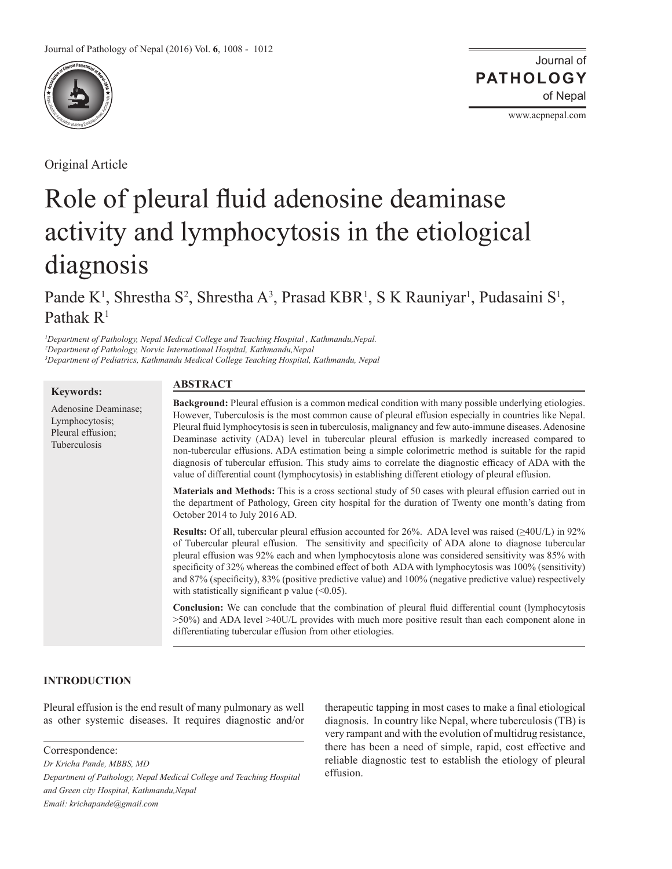

Original Article

Journal of of Nepal **PATHOLOGY**

www.acpnepal.com

# Role of pleural fluid adenosine deaminase activity and lymphocytosis in the etiological diagnosis

Pande K<sup>1</sup>, Shrestha S<sup>2</sup>, Shrestha A<sup>3</sup>, Prasad KBR<sup>1</sup>, S K Rauniyar<sup>1</sup>, Pudasaini S<sup>1</sup>, Pathak  $R<sup>1</sup>$ 

*1 Department of Pathology, Nepal Medical College and Teaching Hospital , Kathmandu,Nepal. 2 Department of Pathology, Norvic International Hospital, Kathmandu,Nepal 3 Department of Pediatrics, Kathmandu Medical College Teaching Hospital, Kathmandu, Nepal*

## **Keywords:**

Adenosine Deaminase; Lymphocytosis; Pleural effusion; Tuberculosis

#### **ABSTRACT**

**Background:** Pleural effusion is a common medical condition with many possible underlying etiologies. However, Tuberculosis is the most common cause of pleural effusion especially in countries like Nepal. Pleural fluid lymphocytosis is seen in tuberculosis, malignancy and few auto-immune diseases. Adenosine Deaminase activity (ADA) level in tubercular pleural effusion is markedly increased compared to non-tubercular effusions. ADA estimation being a simple colorimetric method is suitable for the rapid diagnosis of tubercular effusion. This study aims to correlate the diagnostic efficacy of ADA with the value of differential count (lymphocytosis) in establishing different etiology of pleural effusion.

**Materials and Methods:** This is a cross sectional study of 50 cases with pleural effusion carried out in the department of Pathology, Green city hospital for the duration of Twenty one month's dating from October 2014 to July 2016 AD.

**Results:** Of all, tubercular pleural effusion accounted for 26%. ADA level was raised (≥40U/L) in 92% of Tubercular pleural effusion. The sensitivity and specificity of ADA alone to diagnose tubercular pleural effusion was 92% each and when lymphocytosis alone was considered sensitivity was 85% with specificity of 32% whereas the combined effect of both ADA with lymphocytosis was 100% (sensitivity) and 87% (specificity), 83% (positive predictive value) and 100% (negative predictive value) respectively with statistically significant p value  $(\leq 0.05)$ .

**Conclusion:** We can conclude that the combination of pleural fluid differential count (lymphocytosis >50%) and ADA level >40U/L provides with much more positive result than each component alone in differentiating tubercular effusion from other etiologies.

# **INTRODUCTION**

Pleural effusion is the end result of many pulmonary as well as other systemic diseases. It requires diagnostic and/or

*Dr Kricha Pande, MBBS, MD*

*Department of Pathology, Nepal Medical College and Teaching Hospital and Green city Hospital, Kathmandu,Nepal Email: krichapande@gmail.com*

therapeutic tapping in most cases to make a final etiological diagnosis. In country like Nepal, where tuberculosis (TB) is very rampant and with the evolution of multidrug resistance, there has been a need of simple, rapid, cost effective and reliable diagnostic test to establish the etiology of pleural effusion.

Correspondence: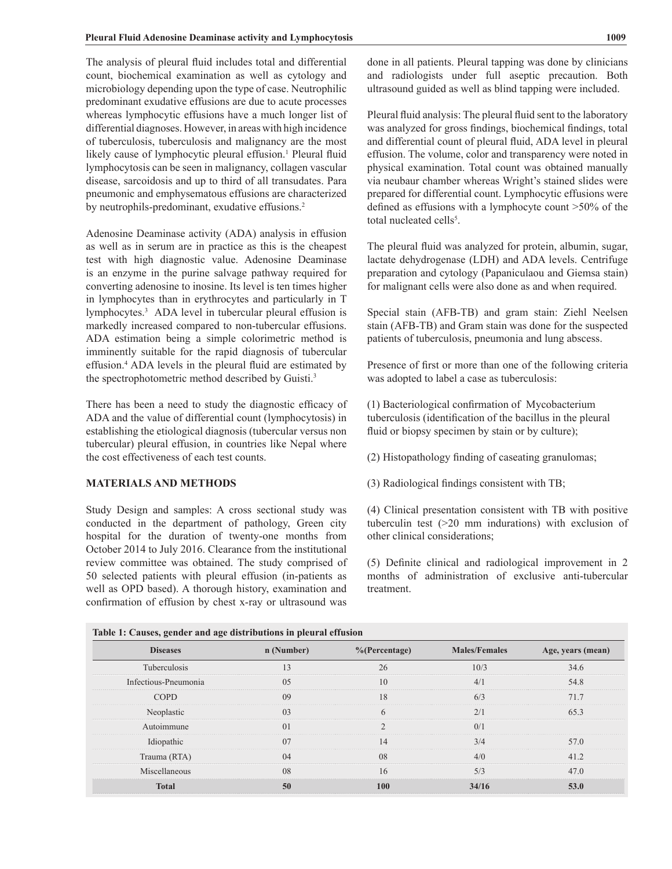The analysis of pleural fluid includes total and differential count, biochemical examination as well as cytology and microbiology depending upon the type of case. Neutrophilic predominant exudative effusions are due to acute processes whereas lymphocytic effusions have a much longer list of differential diagnoses. However, in areas with high incidence of tuberculosis, tuberculosis and malignancy are the most likely cause of lymphocytic pleural effusion.<sup>1</sup> Pleural fluid lymphocytosis can be seen in malignancy, collagen vascular disease, sarcoidosis and up to third of all transudates. Para pneumonic and emphysematous effusions are characterized by neutrophils-predominant, exudative effusions.<sup>2</sup>

Adenosine Deaminase activity (ADA) analysis in effusion as well as in serum are in practice as this is the cheapest test with high diagnostic value. Adenosine Deaminase is an enzyme in the purine salvage pathway required for converting adenosine to inosine. Its level is ten times higher in lymphocytes than in erythrocytes and particularly in T lymphocytes.3 ADA level in tubercular pleural effusion is markedly increased compared to non-tubercular effusions. ADA estimation being a simple colorimetric method is imminently suitable for the rapid diagnosis of tubercular effusion.<sup>4</sup> ADA levels in the pleural fluid are estimated by the spectrophotometric method described by Guisti.3

There has been a need to study the diagnostic efficacy of ADA and the value of differential count (lymphocytosis) in establishing the etiological diagnosis (tubercular versus non tubercular) pleural effusion, in countries like Nepal where the cost effectiveness of each test counts.

## **MATERIALS AND METHODS**

Study Design and samples: A cross sectional study was conducted in the department of pathology, Green city hospital for the duration of twenty-one months from October 2014 to July 2016. Clearance from the institutional review committee was obtained. The study comprised of 50 selected patients with pleural effusion (in-patients as well as OPD based). A thorough history, examination and confirmation of effusion by chest x-ray or ultrasound was

done in all patients. Pleural tapping was done by clinicians and radiologists under full aseptic precaution. Both ultrasound guided as well as blind tapping were included.

Pleural fluid analysis: The pleural fluid sent to the laboratory was analyzed for gross findings, biochemical findings, total and differential count of pleural fluid, ADA level in pleural effusion. The volume, color and transparency were noted in physical examination. Total count was obtained manually via neubaur chamber whereas Wright's stained slides were prepared for differential count. Lymphocytic effusions were defined as effusions with a lymphocyte count >50% of the total nucleated cells<sup>5</sup>.

The pleural fluid was analyzed for protein, albumin, sugar, lactate dehydrogenase (LDH) and ADA levels. Centrifuge preparation and cytology (Papaniculaou and Giemsa stain) for malignant cells were also done as and when required.

Special stain (AFB-TB) and gram stain: Ziehl Neelsen stain (AFB-TB) and Gram stain was done for the suspected patients of tuberculosis, pneumonia and lung abscess.

Presence of first or more than one of the following criteria was adopted to label a case as tuberculosis:

(1) Bacteriological confirmation of Mycobacterium tuberculosis (identification of the bacillus in the pleural fluid or biopsy specimen by stain or by culture);

(2) Histopathology finding of caseating granulomas;

(3) Radiological findings consistent with TB;

(4) Clinical presentation consistent with TB with positive tuberculin test (>20 mm indurations) with exclusion of other clinical considerations;

(5) Definite clinical and radiological improvement in 2 months of administration of exclusive anti-tubercular treatment.

| Table 1. Causes, genuer and age uistributions in pieural chusion |                |                  |                      |                   |  |  |
|------------------------------------------------------------------|----------------|------------------|----------------------|-------------------|--|--|
| <b>Diseases</b>                                                  | n (Number)     | $%$ (Percentage) | <b>Males/Females</b> | Age, years (mean) |  |  |
| Tuberculosis                                                     | 13             | 26               | 10/3                 | 34.6              |  |  |
| Infectious-Pneumonia                                             | 0.5            | 10               | 4/1                  | 54.8              |  |  |
| <b>COPD</b>                                                      | 09             | 18               | 6/3                  | 71.7              |  |  |
| Neoplastic                                                       | 0 <sub>3</sub> | h                | 2/1                  | 65.3              |  |  |
| Autoimmune                                                       | 0 <sub>1</sub> |                  | 0/1                  |                   |  |  |
| Idiopathic                                                       | 07             | 14               | 3/4                  | 57.0              |  |  |
| Trauma (RTA)                                                     | 04             | 08               | 4/0                  | 41.2              |  |  |
| Miscellaneous                                                    | 08             | 16               | 5/3                  | 47.0              |  |  |
| <b>Total</b>                                                     | 50             | <b>100</b>       | 34/16                | 53.0              |  |  |

|  |  |  | Table 1: Causes, gender and age distributions in pleural effusion |
|--|--|--|-------------------------------------------------------------------|
|  |  |  |                                                                   |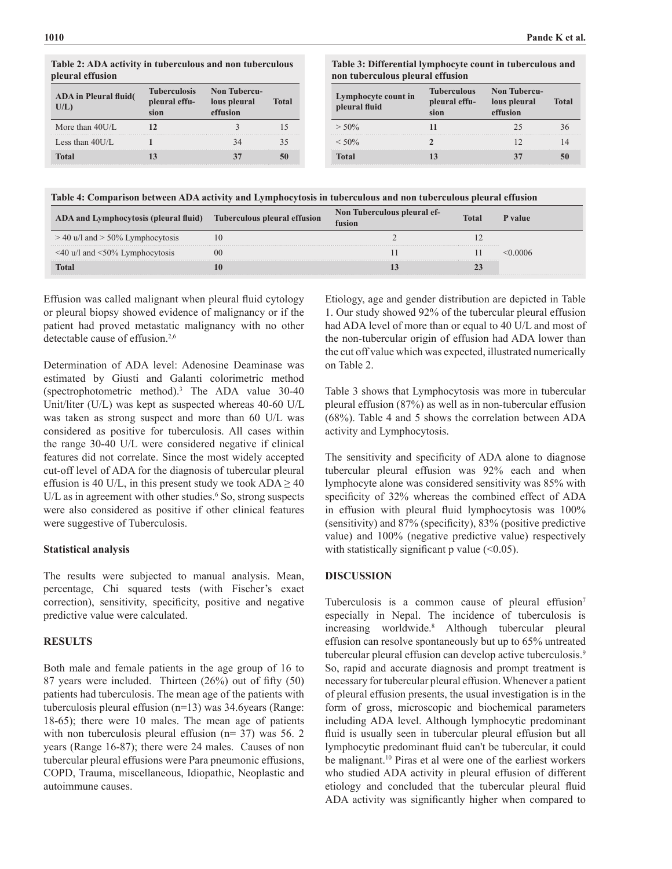**Table 2: ADA activity in tuberculous and non tuberculous pleural effusion**

| <b>ADA</b> in Pleural fluid(<br>U/L) | <b>Tuberculosis</b><br>pleural effu- | <b>Non Tubercu-</b><br>lous pleural<br>effusion | Total |
|--------------------------------------|--------------------------------------|-------------------------------------------------|-------|
| More than $40U/L$                    |                                      |                                                 |       |
| Less than $40$ UL                    |                                      | 34                                              |       |
| Total                                |                                      |                                                 |       |

#### **Table 3: Differential lymphocyte count in tuberculous and non tuberculous pleural effusion**

| Lymphocyte count in<br>pleural fluid | <b>Tuberculous</b><br>pleural effu-<br>sion | <b>Non Tubercu-</b><br>lous pleural<br>effusion | Total |
|--------------------------------------|---------------------------------------------|-------------------------------------------------|-------|
| $> 50\%$                             |                                             |                                                 |       |
| $< 50\%$                             |                                             |                                                 |       |
| <b>Total</b>                         |                                             |                                                 |       |

|  | Table 4: Comparison between ADA activity and Lymphocytosis in tuberculous and non tuberculous pleural effusion |  |
|--|----------------------------------------------------------------------------------------------------------------|--|
|  |                                                                                                                |  |

| ADA and Lymphocytosis (pleural fluid)      | Tuberculous pleural effusion | Non Tuberculous pleural ef-<br>fusion | <b>Total</b> | P value : |
|--------------------------------------------|------------------------------|---------------------------------------|--------------|-----------|
| $>$ 40 u/l and $>$ 50% Lymphocytosis       |                              |                                       |              |           |
| $\leq$ 40 u/l and $\leq$ 50% Lymphocytosis | 00                           |                                       |              |           |
| Total                                      |                              |                                       |              |           |

Effusion was called malignant when pleural fluid cytology or pleural biopsy showed evidence of malignancy or if the patient had proved metastatic malignancy with no other detectable cause of effusion.2,6

Determination of ADA level: Adenosine Deaminase was estimated by Giusti and Galanti colorimetric method (spectrophotometric method).3 The ADA value 30-40 Unit/liter (U/L) was kept as suspected whereas 40-60 U/L was taken as strong suspect and more than 60 U/L was considered as positive for tuberculosis. All cases within the range 30-40 U/L were considered negative if clinical features did not correlate. Since the most widely accepted cut-off level of ADA for the diagnosis of tubercular pleural effusion is 40 U/L, in this present study we took  $ADA \ge 40$  $U/L$  as in agreement with other studies.<sup>6</sup> So, strong suspects were also considered as positive if other clinical features were suggestive of Tuberculosis.

#### **Statistical analysis**

The results were subjected to manual analysis. Mean, percentage, Chi squared tests (with Fischer's exact correction), sensitivity, specificity, positive and negative predictive value were calculated.

# **RESULTS**

Both male and female patients in the age group of 16 to 87 years were included. Thirteen (26%) out of fifty (50) patients had tuberculosis. The mean age of the patients with tuberculosis pleural effusion (n=13) was 34.6years (Range: 18-65); there were 10 males. The mean age of patients with non tuberculosis pleural effusion (n= 37) was 56. 2 years (Range 16-87); there were 24 males. Causes of non tubercular pleural effusions were Para pneumonic effusions, COPD, Trauma, miscellaneous, Idiopathic, Neoplastic and autoimmune causes.

Etiology, age and gender distribution are depicted in Table 1. Our study showed 92% of the tubercular pleural effusion had ADA level of more than or equal to 40 U/L and most of the non-tubercular origin of effusion had ADA lower than the cut off value which was expected, illustrated numerically on Table 2.

Table 3 shows that Lymphocytosis was more in tubercular pleural effusion (87%) as well as in non-tubercular effusion (68%). Table 4 and 5 shows the correlation between ADA activity and Lymphocytosis.

The sensitivity and specificity of ADA alone to diagnose tubercular pleural effusion was 92% each and when lymphocyte alone was considered sensitivity was 85% with specificity of 32% whereas the combined effect of ADA in effusion with pleural fluid lymphocytosis was 100% (sensitivity) and 87% (specificity), 83% (positive predictive value) and 100% (negative predictive value) respectively with statistically significant p value  $(<0.05)$ .

## **DISCUSSION**

Tuberculosis is a common cause of pleural effusion<sup>7</sup> especially in Nepal. The incidence of tuberculosis is increasing worldwide.<sup>8</sup> Although tubercular pleural effusion can resolve spontaneously but up to 65% untreated tubercular pleural effusion can develop active tuberculosis.<sup>9</sup> So, rapid and accurate diagnosis and prompt treatment is necessary for tubercular pleural effusion. Whenever a patient of pleural effusion presents, the usual investigation is in the form of gross, microscopic and biochemical parameters including ADA level. Although lymphocytic predominant fluid is usually seen in tubercular pleural effusion but all lymphocytic predominant fluid can't be tubercular, it could be malignant.<sup>10</sup> Piras et al were one of the earliest workers who studied ADA activity in pleural effusion of different etiology and concluded that the tubercular pleural fluid ADA activity was significantly higher when compared to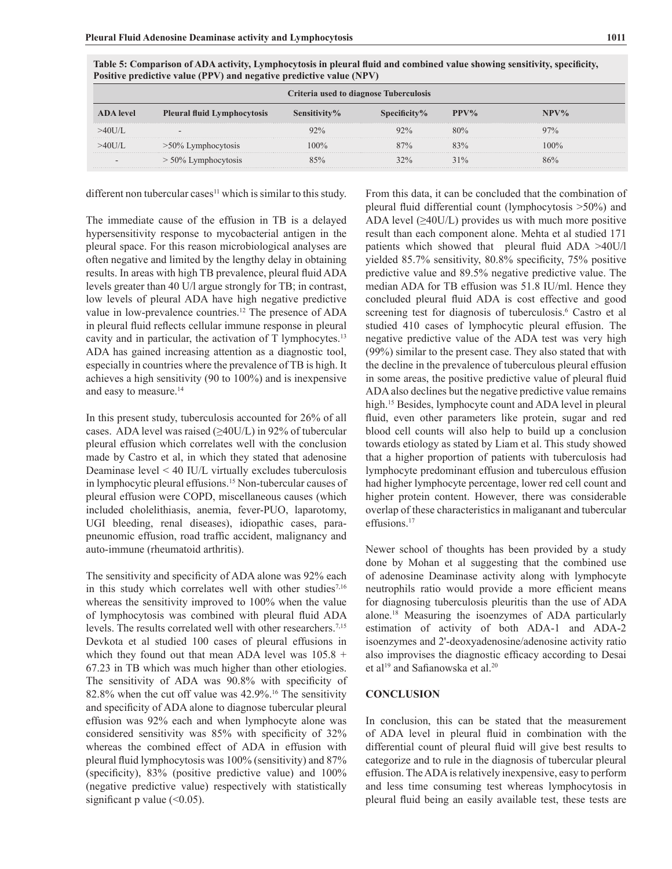| Criteria used to diagnose Tuberculosis |                                    |              |                 |         |         |
|----------------------------------------|------------------------------------|--------------|-----------------|---------|---------|
| <b>ADA</b> level                       | <b>Pleural fluid Lymphocytosis</b> | Sensitivity% | Specificity $%$ | $PPV\%$ | $NPV\%$ |
| >40U/L                                 | $\overline{\phantom{a}}$           | 92%          | 92%             | 80%     | 97%     |
| >40U/L                                 | $>50\%$ Lymphocytosis              | $100\%$      | 87%             | 83%     | $100\%$ |
| $\overline{\phantom{a}}$               | $> 50\%$ Lymphocytosis             | 85%          | 32%             | 31%     | 86%     |

**Table 5: Comparison of ADA activity, Lymphocytosis in pleural fluid and combined value showing sensitivity, specificity, Positive predictive value (PPV) and negative predictive value (NPV)**

different non tubercular cases<sup>11</sup> which is similar to this study.

The immediate cause of the effusion in TB is a delayed hypersensitivity response to mycobacterial antigen in the pleural space. For this reason microbiological analyses are often negative and limited by the lengthy delay in obtaining results. In areas with high TB prevalence, pleural fluid ADA levels greater than 40 U/l argue strongly for TB; in contrast, low levels of pleural ADA have high negative predictive value in low-prevalence countries.<sup>12</sup> The presence of ADA in pleural fluid reflects cellular immune response in pleural cavity and in particular, the activation of  $T$  lymphocytes.<sup>13</sup> ADA has gained increasing attention as a diagnostic tool, especially in countries where the prevalence of TB is high. It achieves a high sensitivity (90 to 100%) and is inexpensive and easy to measure.<sup>14</sup>

In this present study, tuberculosis accounted for 26% of all cases. ADA level was raised  $(\geq 40 U/L)$  in 92% of tubercular pleural effusion which correlates well with the conclusion made by Castro et al, in which they stated that adenosine Deaminase level < 40 IU/L virtually excludes tuberculosis in lymphocytic pleural effusions.15 Non-tubercular causes of pleural effusion were COPD, miscellaneous causes (which included cholelithiasis, anemia, fever-PUO, laparotomy, UGI bleeding, renal diseases), idiopathic cases, parapneunomic effusion, road traffic accident, malignancy and auto-immune (rheumatoid arthritis).

The sensitivity and specificity of ADA alone was 92% each in this study which correlates well with other studies<sup>7,16</sup> whereas the sensitivity improved to 100% when the value of lymphocytosis was combined with pleural fluid ADA levels. The results correlated well with other researchers.<sup>7,15</sup> Devkota et al studied 100 cases of pleural effusions in which they found out that mean ADA level was  $105.8 +$ 67.23 in TB which was much higher than other etiologies. The sensitivity of ADA was 90.8% with specificity of 82.8% when the cut off value was 42.9%.<sup>16</sup> The sensitivity and specificity of ADA alone to diagnose tubercular pleural effusion was 92% each and when lymphocyte alone was considered sensitivity was 85% with specificity of 32% whereas the combined effect of ADA in effusion with pleural fluid lymphocytosis was 100% (sensitivity) and 87% (specificity), 83% (positive predictive value) and 100% (negative predictive value) respectively with statistically significant p value  $( $0.05$ ).$ 

From this data, it can be concluded that the combination of pleural fluid differential count (lymphocytosis >50%) and ADA level  $(\geq 40U/L)$  provides us with much more positive result than each component alone. Mehta et al studied 171 patients which showed that pleural fluid ADA >40U/l yielded 85.7% sensitivity, 80.8% specificity, 75% positive predictive value and 89.5% negative predictive value. The median ADA for TB effusion was 51.8 IU/ml. Hence they concluded pleural fluid ADA is cost effective and good screening test for diagnosis of tuberculosis.<sup>6</sup> Castro et al studied 410 cases of lymphocytic pleural effusion. The negative predictive value of the ADA test was very high (99%) similar to the present case. They also stated that with the decline in the prevalence of tuberculous pleural effusion in some areas, the positive predictive value of pleural fluid ADA also declines but the negative predictive value remains high.<sup>15</sup> Besides, lymphocyte count and ADA level in pleural fluid, even other parameters like protein, sugar and red blood cell counts will also help to build up a conclusion towards etiology as stated by Liam et al. This study showed that a higher proportion of patients with tuberculosis had lymphocyte predominant effusion and tuberculous effusion had higher lymphocyte percentage, lower red cell count and higher protein content. However, there was considerable overlap of these characteristics in maliganant and tubercular effusions.<sup>17</sup>

Newer school of thoughts has been provided by a study done by Mohan et al suggesting that the combined use of adenosine Deaminase activity along with lymphocyte neutrophils ratio would provide a more efficient means for diagnosing tuberculosis pleuritis than the use of ADA alone.18 Measuring the isoenzymes of ADA particularly estimation of activity of both ADA-1 and ADA-2 isoenzymes and 2'-deoxyadenosine/adenosine activity ratio also improvises the diagnostic efficacy according to Desai et al<sup>19</sup> and Safianowska et al.<sup>20</sup>

## **CONCLUSION**

In conclusion, this can be stated that the measurement of ADA level in pleural fluid in combination with the differential count of pleural fluid will give best results to categorize and to rule in the diagnosis of tubercular pleural effusion. The ADA is relatively inexpensive, easy to perform and less time consuming test whereas lymphocytosis in pleural fluid being an easily available test, these tests are